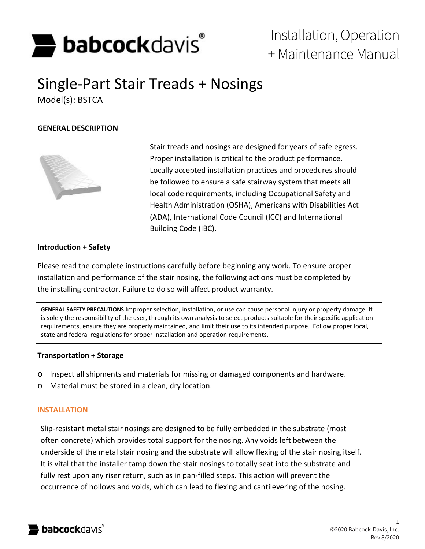

# Installation, Operation + Maintenance Manual

# Single-Part Stair Treads + Nosings Model(s): BSTCA

### **GENERAL DESCRIPTION**



Stair treads and nosings are designed for years of safe egress. Proper installation is critical to the product performance. Locally accepted installation practices and procedures should be followed to ensure a safe stairway system that meets all local code requirements, including Occupational Safety and Health Administration (OSHA), Americans with Disabilities Act (ADA), International Code Council (ICC) and International Building Code (IBC).

#### **Introduction + Safety**

Please read the complete instructions carefully before beginning any work. To ensure proper installation and performance of the stair nosing, the following actions must be completed by the installing contractor. Failure to do so will affect product warranty.

**GENERAL SAFETY PRECAUTIONS** Improper selection, installation, or use can cause personal injury or property damage. It is solely the responsibility of the user, through its own analysis to select products suitable for their specific application requirements, ensure they are properly maintained, and limit their use to its intended purpose. Follow proper local, state and federal regulations for proper installation and operation requirements.

#### **Transportation + Storage**

- o Inspect all shipments and materials for missing or damaged components and hardware.
- o Material must be stored in a clean, dry location.

#### **INSTALLATION**

Slip-resistant metal stair nosings are designed to be fully embedded in the substrate (most often concrete) which provides total support for the nosing. Any voids left between the underside of the metal stair nosing and the substrate will allow flexing of the stair nosing itself. It is vital that the installer tamp down the stair nosings to totally seat into the substrate and fully rest upon any riser return, such as in pan-filled steps. This action will prevent the occurrence of hollows and voids, which can lead to flexing and cantilevering of the nosing.